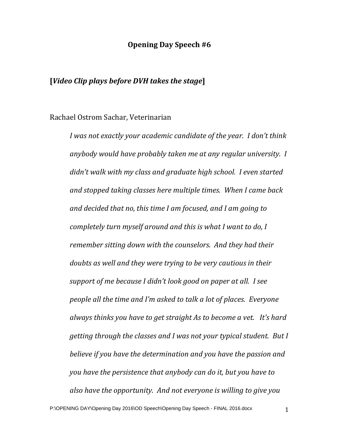### **Opening Day Speech #6**

#### **[***Video Clip plays before DVH takes the stage***]**

Rachael Ostrom Sachar, Veterinarian

*I was not exactly your academic candidate of the year. I don't think anybody would have probably taken me at any regular university. I didn't walk with my class and graduate high school. I even started and stopped taking classes here multiple times. When I came back and decided that no, this time I am focused, and I am going to completely turn myself around and this is what I want to do, I remember sitting down with the counselors. And they had their doubts as well and they were trying to be very cautious in their support of me because I didn't look good on paper at all. I see people all the time and I'm asked to talk a lot of places. Everyone always thinks you have to get straight As to become a vet. It's hard getting through the classes and I was not your typical student. But I believe if you have the determination and you have the passion and you have the persistence that anybody can do it, but you have to also have the opportunity. And not everyone is willing to give you*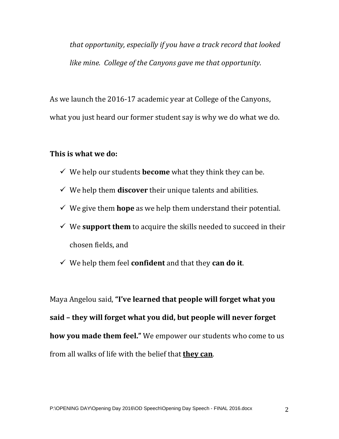*that opportunity, especially if you have a track record that looked like mine. College of the Canyons gave me that opportunity.* 

As we launch the 2016-17 academic year at College of the Canyons, what you just heard our former student say is why we do what we do.

#### **This is what we do:**

- $\checkmark$  We help our students **become** what they think they can be.
- $\checkmark$  We help them **discover** their unique talents and abilities.
- $\checkmark$  We give them **hope** as we help them understand their potential.
- $\checkmark$  We support them to acquire the skills needed to succeed in their chosen fields, and
- We help them feel **confident** and that they **can do it**.

Maya Angelou said, **"I've learned that people will forget what you said – they will forget what you did, but people will never forget how you made them feel."** We empower our students who come to us from all walks of life with the belief that **they can**.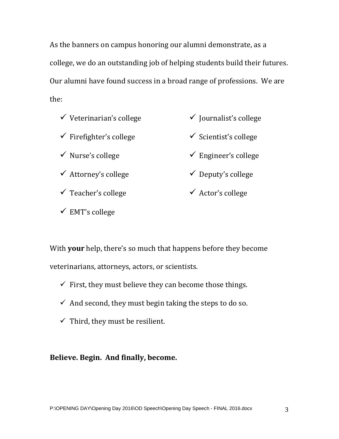As the banners on campus honoring our alumni demonstrate, as a college, we do an outstanding job of helping students build their futures. Our alumni have found success in a broad range of professions. We are the:

 $\checkmark$  Veterinarian's college  $\checkmark$  Firefighter's college  $\checkmark$  Nurse's college  $\checkmark$  Attorney's college  $\checkmark$  Teacher's college  $\checkmark$  EMT's college  $\checkmark$  Journalist's college  $\checkmark$  Scientist's college  $\checkmark$  Engineer's college  $\checkmark$  Deputy's college  $\checkmark$  Actor's college

With **your** help, there's so much that happens before they become veterinarians, attorneys, actors, or scientists.

- $\checkmark$  First, they must believe they can become those things.
- $\checkmark$  And second, they must begin taking the steps to do so.
- $\checkmark$  Third, they must be resilient.

**Believe. Begin. And finally, become.**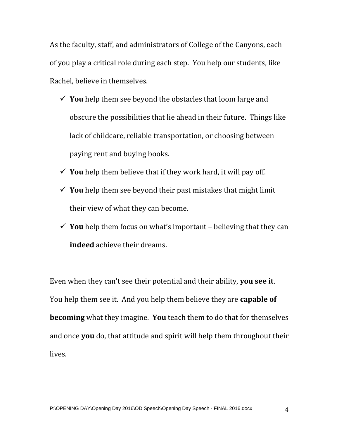As the faculty, staff, and administrators of College of the Canyons, each of you play a critical role during each step. You help our students, like Rachel, believe in themselves.

- $\checkmark$  You help them see beyond the obstacles that loom large and obscure the possibilities that lie ahead in their future. Things like lack of childcare, reliable transportation, or choosing between paying rent and buying books.
- $\checkmark$  You help them believe that if they work hard, it will pay off.
- $\checkmark$  You help them see beyond their past mistakes that might limit their view of what they can become.
- $\checkmark$  You help them focus on what's important believing that they can **indeed** achieve their dreams.

Even when they can't see their potential and their ability, **you see it**. You help them see it. And you help them believe they are **capable of becoming** what they imagine. **You** teach them to do that for themselves and once **you** do, that attitude and spirit will help them throughout their lives.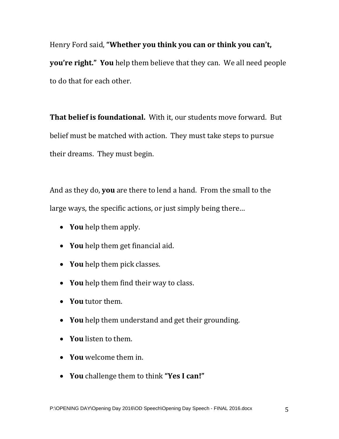Henry Ford said, **"Whether you think you can or think you can't, you're right." You** help them believe that they can. We all need people to do that for each other.

**That belief is foundational.** With it, our students move forward. But belief must be matched with action. They must take steps to pursue their dreams. They must begin.

And as they do, **you** are there to lend a hand. From the small to the large ways, the specific actions, or just simply being there…

- **You** help them apply.
- **You** help them get financial aid.
- **You** help them pick classes.
- **You** help them find their way to class.
- **You** tutor them.
- **You** help them understand and get their grounding.
- **You** listen to them.
- **You** welcome them in.
- **You** challenge them to think **"Yes I can!"**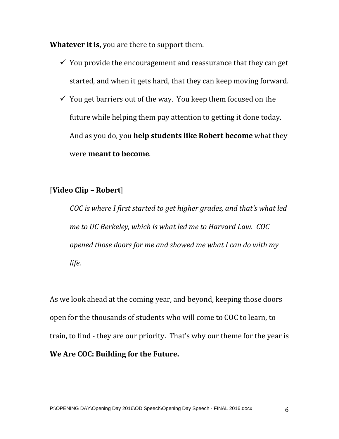**Whatever it is,** you are there to support them.

- $\checkmark$  You provide the encouragement and reassurance that they can get started, and when it gets hard, that they can keep moving forward.
- $\checkmark$  You get barriers out of the way. You keep them focused on the future while helping them pay attention to getting it done today. And as you do, you **help students like Robert become** what they were **meant to become**.

# [**Video Clip – Robert**]

*COC is where I first started to get higher grades, and that's what led me to UC Berkeley, which is what led me to Harvard Law. COC opened those doors for me and showed me what I can do with my life.* 

As we look ahead at the coming year, and beyond, keeping those doors open for the thousands of students who will come to COC to learn, to train, to find - they are our priority. That's why our theme for the year is **We Are COC: Building for the Future.**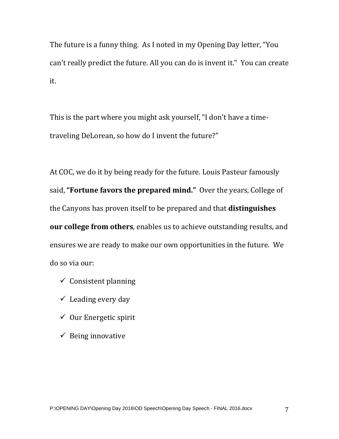The future is a funny thing. As I noted in my Opening Day letter, "You can't really predict the future. All you can do is invent it." You can create it.

This is the part where you might ask yourself, "I don't have a timetraveling DeLorean, so how do I invent the future?"

At COC, we do it by being ready for the future. Louis Pasteur famously said, **"Fortune favors the prepared mind."** Over the years, College of the Canyons has proven itself to be prepared and that **distinguishes our college from others**, enables us to achieve outstanding results, and ensures we are ready to make our own opportunities in the future. We do so via our:

- $\checkmark$  Consistent planning
- $\checkmark$  Leading every day
- $\checkmark$  Our Energetic spirit
- $\checkmark$  Being innovative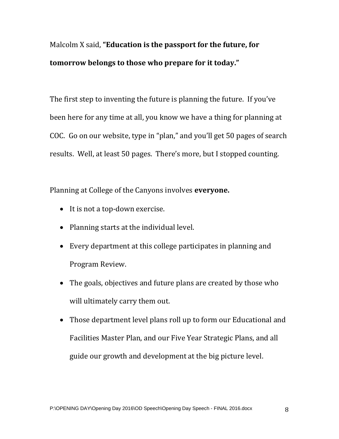Malcolm X said, **"Education is the passport for the future, for tomorrow belongs to those who prepare for it today."**

The first step to inventing the future is planning the future. If you've been here for any time at all, you know we have a thing for planning at COC. Go on our website, type in "plan," and you'll get 50 pages of search results. Well, at least 50 pages. There's more, but I stopped counting.

Planning at College of the Canyons involves **everyone.**

- It is not a top-down exercise.
- Planning starts at the individual level.
- Every department at this college participates in planning and Program Review.
- The goals, objectives and future plans are created by those who will ultimately carry them out.
- Those department level plans roll up to form our Educational and Facilities Master Plan, and our Five Year Strategic Plans, and all guide our growth and development at the big picture level.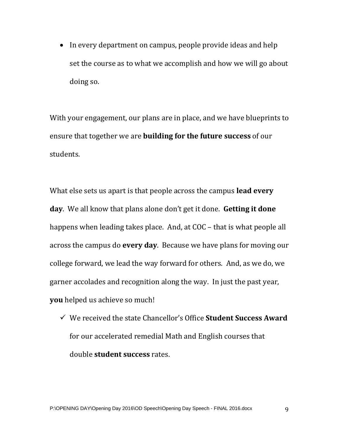• In every department on campus, people provide ideas and help set the course as to what we accomplish and how we will go about doing so.

With your engagement, our plans are in place, and we have blueprints to ensure that together we are **building for the future success** of our students.

What else sets us apart is that people across the campus **lead every day**. We all know that plans alone don't get it done. **Getting it done** happens when leading takes place. And, at COC – that is what people all across the campus do **every day**. Because we have plans for moving our college forward, we lead the way forward for others. And, as we do, we garner accolades and recognition along the way. In just the past year, **you** helped us achieve so much!

 We received the state Chancellor's Office **Student Success Award** for our accelerated remedial Math and English courses that double **student success** rates.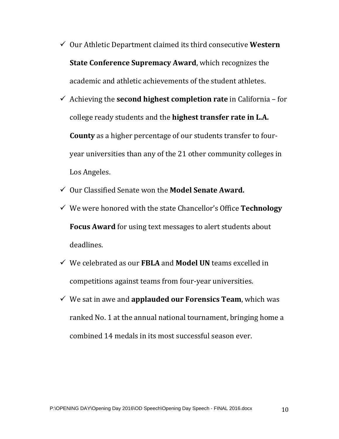- Our Athletic Department claimed its third consecutive **Western State Conference Supremacy Award**, which recognizes the academic and athletic achievements of the student athletes.
- Achieving the **second highest completion rate** in California for college ready students and the **highest transfer rate in L.A. County** as a higher percentage of our students transfer to fouryear universities than any of the 21 other community colleges in Los Angeles.
- Our Classified Senate won the **Model Senate Award.**
- We were honored with the state Chancellor's Office **Technology Focus Award** for using text messages to alert students about deadlines.
- We celebrated as our **FBLA** and **Model UN** teams excelled in competitions against teams from four-year universities.
- We sat in awe and **applauded our Forensics Team**, which was ranked No. 1 at the annual national tournament, bringing home a combined 14 medals in its most successful season ever.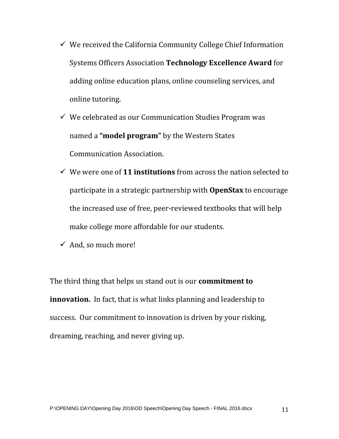- $\checkmark$  We received the California Community College Chief Information Systems Officers Association **Technology Excellence Award** for adding online education plans, online counseling services, and online tutoring.
- $\checkmark$  We celebrated as our Communication Studies Program was named a **"model program"** by the Western States Communication Association.
- We were one of **11 institutions** from across the nation selected to participate in a strategic partnership with **OpenStax** to encourage the increased use of free, peer-reviewed textbooks that will help make college more affordable for our students.
- $\checkmark$  And, so much more!

The third thing that helps us stand out is our **commitment to innovation.** In fact, that is what links planning and leadership to success.Our commitment to innovation is driven by your risking, dreaming, reaching, and never giving up.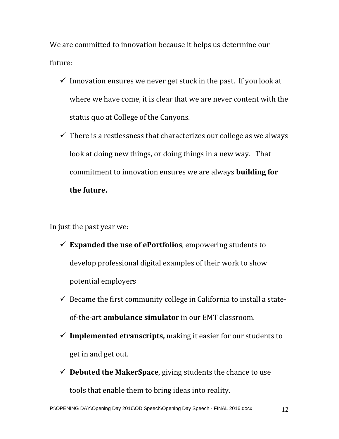We are committed to innovation because it helps us determine our future:

- $\checkmark$  Innovation ensures we never get stuck in the past. If you look at where we have come, it is clear that we are never content with the status quo at College of the Canyons.
- $\checkmark$  There is a restlessness that characterizes our college as we always look at doing new things, or doing things in a new way. That commitment to innovation ensures we are always **building for the future.**

In just the past year we:

- $\checkmark$  Expanded the use of ePortfolios, empowering students to develop professional digital examples of their work to show potential employers
- $\checkmark$  Became the first community college in California to install a stateof-the-art **ambulance simulator** in our EMT classroom.
- $\checkmark$  Implemented etranscripts, making it easier for our students to get in and get out.
- $\checkmark$  **Debuted the MakerSpace**, giving students the chance to use tools that enable them to bring ideas into reality.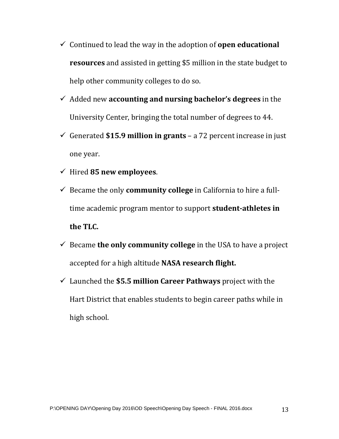- Continued to lead the way in the adoption of **open educational resources** and assisted in getting \$5 million in the state budget to help other community colleges to do so.
- Added new **accounting and nursing bachelor's degrees** in the University Center, bringing the total number of degrees to 44.
- Generated **\$15.9 million in grants** a 72 percent increase in just one year.
- Hired **85 new employees**.
- Became the only **community college** in California to hire a fulltime academic program mentor to support **student-athletes in the TLC.**
- $\checkmark$  Became **the only community college** in the USA to have a project accepted for a high altitude **NASA research flight.**
- Launched the **\$5.5 million Career Pathways** project with the Hart District that enables students to begin career paths while in high school.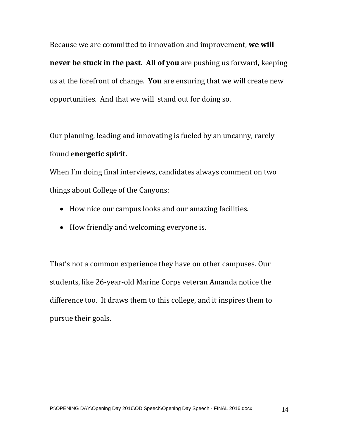Because we are committed to innovation and improvement, **we will never be stuck in the past. All of you** are pushing us forward, keeping us at the forefront of change. **You** are ensuring that we will create new opportunities. And that we will stand out for doing so.

Our planning, leading and innovating is fueled by an uncanny, rarely found e**nergetic spirit.**

When I'm doing final interviews, candidates always comment on two things about College of the Canyons:

- How nice our campus looks and our amazing facilities.
- How friendly and welcoming everyone is.

That's not a common experience they have on other campuses. Our students, like 26-year-old Marine Corps veteran Amanda notice the difference too. It draws them to this college, and it inspires them to pursue their goals.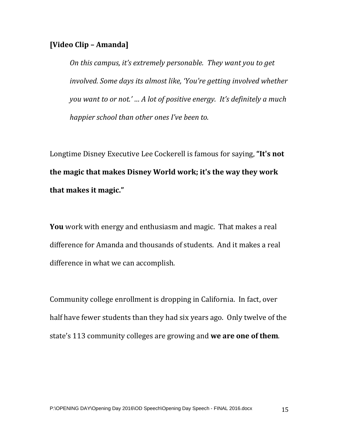## **[Video Clip – Amanda]**

*On this campus, it's extremely personable. They want you to get involved. Some days its almost like, 'You're getting involved whether you want to or not.' … A lot of positive energy. It's definitely a much happier school than other ones I've been to.*

Longtime Disney Executive Lee Cockerell is famous for saying, **"It's not the magic that makes Disney World work; it's the way they work that makes it magic."** 

**You** work with energy and enthusiasm and magic. That makes a real difference for Amanda and thousands of students. And it makes a real difference in what we can accomplish.

Community college enrollment is dropping in California. In fact, over half have fewer students than they had six years ago. Only twelve of the state's 113 community colleges are growing and **we are one of them**.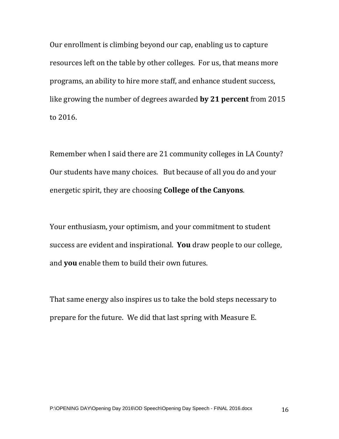Our enrollment is climbing beyond our cap, enabling us to capture resources left on the table by other colleges. For us, that means more programs, an ability to hire more staff, and enhance student success, like growing the number of degrees awarded **by 21 percent** from 2015 to 2016.

Remember when I said there are 21 community colleges in LA County? Our students have many choices. But because of all you do and your energetic spirit, they are choosing **College of the Canyons**.

Your enthusiasm, your optimism, and your commitment to student success are evident and inspirational. **You** draw people to our college, and **you** enable them to build their own futures.

That same energy also inspires us to take the bold steps necessary to prepare for the future. We did that last spring with Measure E.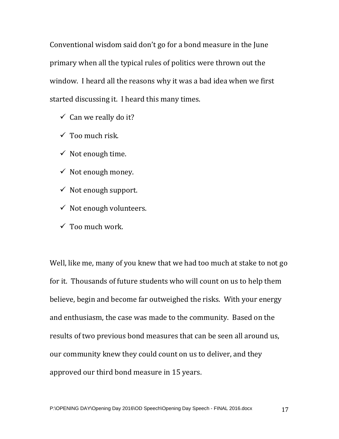Conventional wisdom said don't go for a bond measure in the June primary when all the typical rules of politics were thrown out the window. I heard all the reasons why it was a bad idea when we first started discussing it. I heard this many times.

- $\checkmark$  Can we really do it?
- $\checkmark$  Too much risk.
- $\checkmark$  Not enough time.
- $\checkmark$  Not enough money.
- $\checkmark$  Not enough support.
- $\checkmark$  Not enough volunteers.
- $\checkmark$  Too much work.

Well, like me, many of you knew that we had too much at stake to not go for it. Thousands of future students who will count on us to help them believe, begin and become far outweighed the risks. With your energy and enthusiasm, the case was made to the community. Based on the results of two previous bond measures that can be seen all around us, our community knew they could count on us to deliver, and they approved our third bond measure in 15 years.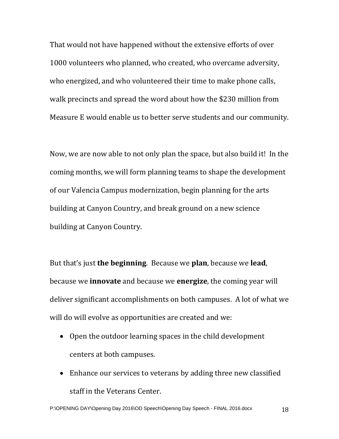That would not have happened without the extensive efforts of over 1000 volunteers who planned, who created, who overcame adversity, who energized, and who volunteered their time to make phone calls, walk precincts and spread the word about how the \$230 million from Measure E would enable us to better serve students and our community.

Now, we are now able to not only plan the space, but also build it! In the coming months, we will form planning teams to shape the development of our Valencia Campus modernization, begin planning for the arts building at Canyon Country, and break ground on a new science building at Canyon Country.

But that's just **the beginning**. Because we **plan**, because we **lead**, because we **innovate** and because we **energize**, the coming year will deliver significant accomplishments on both campuses. A lot of what we will do will evolve as opportunities are created and we:

- Open the outdoor learning spaces in the child development centers at both campuses.
- Enhance our services to veterans by adding three new classified staff in the Veterans Center.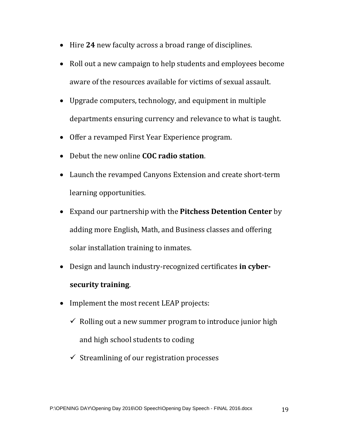- Hire **24** new faculty across a broad range of disciplines.
- Roll out a new campaign to help students and employees become aware of the resources available for victims of sexual assault.
- Upgrade computers, technology, and equipment in multiple departments ensuring currency and relevance to what is taught.
- Offer a revamped First Year Experience program.
- Debut the new online **COC radio station**.
- Launch the revamped Canyons Extension and create short-term learning opportunities.
- Expand our partnership with the **Pitchess Detention Center** by adding more English, Math, and Business classes and offering solar installation training to inmates.
- Design and launch industry-recognized certificates **in cybersecurity training**.
- Implement the most recent LEAP projects:
	- $\checkmark$  Rolling out a new summer program to introduce junior high and high school students to coding
	- $\checkmark$  Streamlining of our registration processes